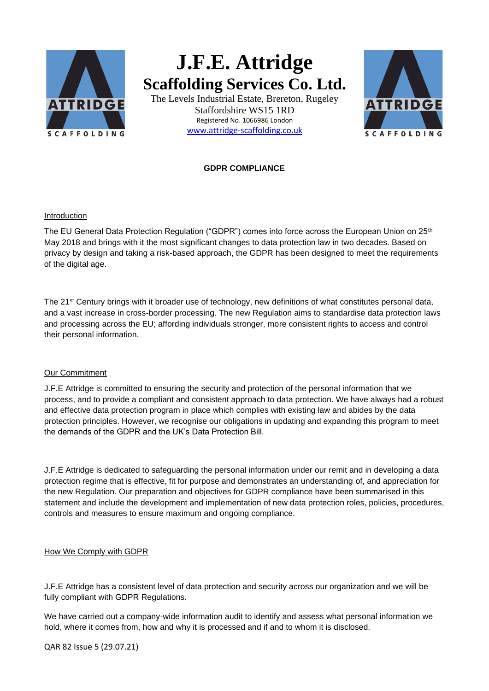

# **J.F.E. Attridge Scaffolding Services Co. Ltd.**

The Levels Industrial Estate, Brereton, Rugeley Staffordshire WS15 1RD Registered No. 1066986 London [www.attridge-scaffolding.co.uk](http://www.attridge-scaffolding.co.uk/)



## **GDPR COMPLIANCE**

#### Introduction

The EU General Data Protection Regulation ("GDPR") comes into force across the European Union on 25<sup>th</sup> May 2018 and brings with it the most significant changes to data protection law in two decades. Based on privacy by design and taking a risk-based approach, the GDPR has been designed to meet the requirements of the digital age.

The 21<sup>st</sup> Century brings with it broader use of technology, new definitions of what constitutes personal data, and a vast increase in cross-border processing. The new Regulation aims to standardise data protection laws and processing across the EU; affording individuals stronger, more consistent rights to access and control their personal information.

#### Our Commitment

J.F.E Attridge is committed to ensuring the security and protection of the personal information that we process, and to provide a compliant and consistent approach to data protection. We have always had a robust and effective data protection program in place which complies with existing law and abides by the data protection principles. However, we recognise our obligations in updating and expanding this program to meet the demands of the GDPR and the UK's Data Protection Bill.

J.F.E Attridge is dedicated to safeguarding the personal information under our remit and in developing a data protection regime that is effective, fit for purpose and demonstrates an understanding of, and appreciation for the new Regulation. Our preparation and objectives for GDPR compliance have been summarised in this statement and include the development and implementation of new data protection roles, policies, procedures, controls and measures to ensure maximum and ongoing compliance.

#### How We Comply with GDPR

J.F.E Attridge has a consistent level of data protection and security across our organization and we will be fully compliant with GDPR Regulations.

We have carried out a company-wide information audit to identify and assess what personal information we hold, where it comes from, how and why it is processed and if and to whom it is disclosed.

QAR 82 Issue 5 (29.07.21)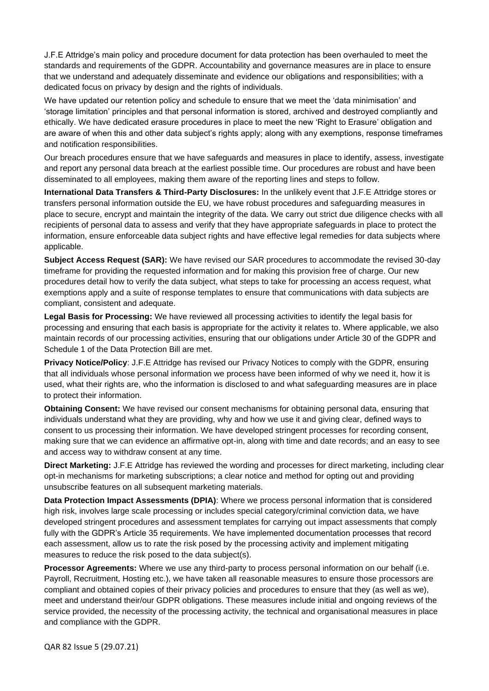J.F.E Attridge's main policy and procedure document for data protection has been overhauled to meet the standards and requirements of the GDPR. Accountability and governance measures are in place to ensure that we understand and adequately disseminate and evidence our obligations and responsibilities; with a dedicated focus on privacy by design and the rights of individuals.

We have updated our retention policy and schedule to ensure that we meet the 'data minimisation' and 'storage limitation' principles and that personal information is stored, archived and destroyed compliantly and ethically. We have dedicated erasure procedures in place to meet the new 'Right to Erasure' obligation and are aware of when this and other data subject's rights apply; along with any exemptions, response timeframes and notification responsibilities.

Our breach procedures ensure that we have safeguards and measures in place to identify, assess, investigate and report any personal data breach at the earliest possible time. Our procedures are robust and have been disseminated to all employees, making them aware of the reporting lines and steps to follow.

**International Data Transfers & Third-Party Disclosures:** In the unlikely event that J.F.E Attridge stores or transfers personal information outside the EU, we have robust procedures and safeguarding measures in place to secure, encrypt and maintain the integrity of the data. We carry out strict due diligence checks with all recipients of personal data to assess and verify that they have appropriate safeguards in place to protect the information, ensure enforceable data subject rights and have effective legal remedies for data subjects where applicable.

**Subject Access Request (SAR):** We have revised our SAR procedures to accommodate the revised 30-day timeframe for providing the requested information and for making this provision free of charge. Our new procedures detail how to verify the data subject, what steps to take for processing an access request, what exemptions apply and a suite of response templates to ensure that communications with data subjects are compliant, consistent and adequate.

**Legal Basis for Processing:** We have reviewed all processing activities to identify the legal basis for processing and ensuring that each basis is appropriate for the activity it relates to. Where applicable, we also maintain records of our processing activities, ensuring that our obligations under Article 30 of the GDPR and Schedule 1 of the Data Protection Bill are met.

**Privacy Notice/Policy**: J.F.E Attridge has revised our Privacy Notices to comply with the GDPR, ensuring that all individuals whose personal information we process have been informed of why we need it, how it is used, what their rights are, who the information is disclosed to and what safeguarding measures are in place to protect their information.

**Obtaining Consent:** We have revised our consent mechanisms for obtaining personal data, ensuring that individuals understand what they are providing, why and how we use it and giving clear, defined ways to consent to us processing their information. We have developed stringent processes for recording consent, making sure that we can evidence an affirmative opt-in, along with time and date records; and an easy to see and access way to withdraw consent at any time.

**Direct Marketing:** J.F.E Attridge has reviewed the wording and processes for direct marketing, including clear opt-in mechanisms for marketing subscriptions; a clear notice and method for opting out and providing unsubscribe features on all subsequent marketing materials.

**Data Protection Impact Assessments (DPIA)**: Where we process personal information that is considered high risk, involves large scale processing or includes special category/criminal conviction data, we have developed stringent procedures and assessment templates for carrying out impact assessments that comply fully with the GDPR's Article 35 requirements. We have implemented documentation processes that record each assessment, allow us to rate the risk posed by the processing activity and implement mitigating measures to reduce the risk posed to the data subject(s).

**Processor Agreements:** Where we use any third-party to process personal information on our behalf (i.e. Payroll, Recruitment, Hosting etc.), we have taken all reasonable measures to ensure those processors are compliant and obtained copies of their privacy policies and procedures to ensure that they (as well as we), meet and understand their/our GDPR obligations. These measures include initial and ongoing reviews of the service provided, the necessity of the processing activity, the technical and organisational measures in place and compliance with the GDPR.